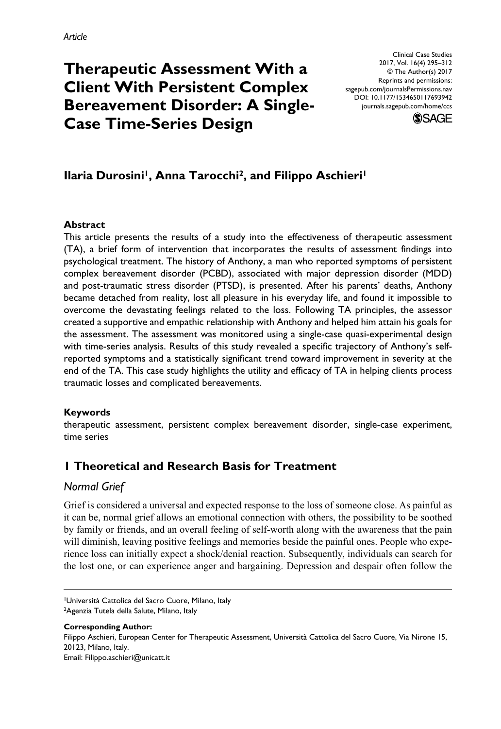# **Therapeutic Assessment With a Client With Persistent Complex Bereavement Disorder: A Single-Case Time-Series Design**

DOI: 10.1177/1534650117693942 Clinical Case Studies 2017, Vol. 16(4) 295–312 © The Author(s) 2017 Reprints and permissions: [sagepub.com/journalsPermissions.nav](https://us.sagepub.com/en-us/journals-permissions) journals.sagepub.com/home/ccs



# **Ilaria Durosini<sup>1</sup>, Anna Tarocchi<sup>2</sup>, and Filippo Aschieri<sup>1</sup>**

#### **Abstract**

This article presents the results of a study into the effectiveness of therapeutic assessment (TA), a brief form of intervention that incorporates the results of assessment findings into psychological treatment. The history of Anthony, a man who reported symptoms of persistent complex bereavement disorder (PCBD), associated with major depression disorder (MDD) and post-traumatic stress disorder (PTSD), is presented. After his parents' deaths, Anthony became detached from reality, lost all pleasure in his everyday life, and found it impossible to overcome the devastating feelings related to the loss. Following TA principles, the assessor created a supportive and empathic relationship with Anthony and helped him attain his goals for the assessment. The assessment was monitored using a single-case quasi-experimental design with time-series analysis. Results of this study revealed a specific trajectory of Anthony's selfreported symptoms and a statistically significant trend toward improvement in severity at the end of the TA. This case study highlights the utility and efficacy of TA in helping clients process traumatic losses and complicated bereavements.

# **Keywords**

therapeutic assessment, persistent complex bereavement disorder, single-case experiment, time series

# **1 Theoretical and Research Basis for Treatment**

# *Normal Grief*

Grief is considered a universal and expected response to the loss of someone close. As painful as it can be, normal grief allows an emotional connection with others, the possibility to be soothed by family or friends, and an overall feeling of self-worth along with the awareness that the pain will diminish, leaving positive feelings and memories beside the painful ones. People who experience loss can initially expect a shock/denial reaction. Subsequently, individuals can search for the lost one, or can experience anger and bargaining. Depression and despair often follow the

**Corresponding Author:** Filippo Aschieri, European Center for Therapeutic Assessment, Università Cattolica del Sacro Cuore, Via Nirone 15, 20123, Milano, Italy. Email: [Filippo.aschieri@unicatt.it](mailto:Filippo.aschieri@unicatt.it)

<sup>1</sup>Università Cattolica del Sacro Cuore, Milano, Italy <sup>2</sup>Agenzia Tutela della Salute, Milano, Italy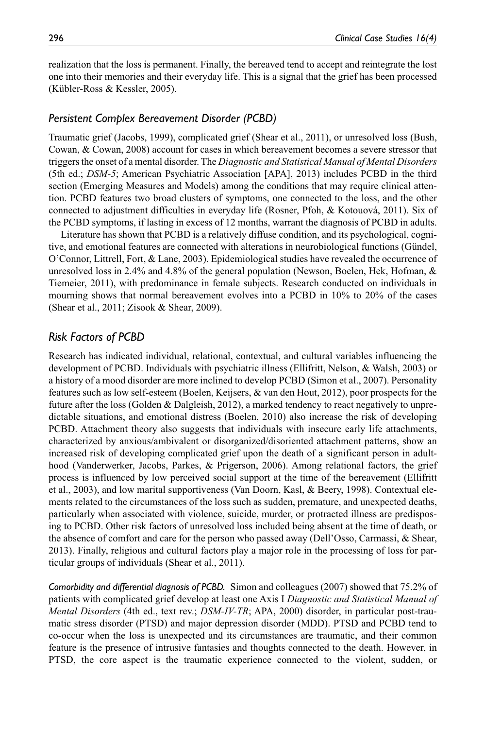realization that the loss is permanent. Finally, the bereaved tend to accept and reintegrate the lost one into their memories and their everyday life. This is a signal that the grief has been processed (Kübler-Ross & Kessler, 2005).

#### *Persistent Complex Bereavement Disorder (PCBD)*

Traumatic grief (Jacobs, 1999), complicated grief (Shear et al., 2011), or unresolved loss (Bush, Cowan, & Cowan, 2008) account for cases in which bereavement becomes a severe stressor that triggers the onset of a mental disorder. The *Diagnostic and Statistical Manual of Mental Disorders* (5th ed.; *DSM-5*; American Psychiatric Association [APA], 2013) includes PCBD in the third section (Emerging Measures and Models) among the conditions that may require clinical attention. PCBD features two broad clusters of symptoms, one connected to the loss, and the other connected to adjustment difficulties in everyday life (Rosner, Pfoh, & Kotouová, 2011). Six of the PCBD symptoms, if lasting in excess of 12 months, warrant the diagnosis of PCBD in adults.

Literature has shown that PCBD is a relatively diffuse condition, and its psychological, cognitive, and emotional features are connected with alterations in neurobiological functions (Gündel, O'Connor, Littrell, Fort, & Lane, 2003). Epidemiological studies have revealed the occurrence of unresolved loss in 2.4% and 4.8% of the general population (Newson, Boelen, Hek, Hofman, & Tiemeier, 2011), with predominance in female subjects. Research conducted on individuals in mourning shows that normal bereavement evolves into a PCBD in 10% to 20% of the cases (Shear et al., 2011; Zisook & Shear, 2009).

#### *Risk Factors of PCBD*

Research has indicated individual, relational, contextual, and cultural variables influencing the development of PCBD. Individuals with psychiatric illness (Ellifritt, Nelson, & Walsh, 2003) or a history of a mood disorder are more inclined to develop PCBD (Simon et al., 2007). Personality features such as low self-esteem (Boelen, Keijsers, & van den Hout, 2012), poor prospects for the future after the loss (Golden & Dalgleish, 2012), a marked tendency to react negatively to unpredictable situations, and emotional distress (Boelen, 2010) also increase the risk of developing PCBD. Attachment theory also suggests that individuals with insecure early life attachments, characterized by anxious/ambivalent or disorganized/disoriented attachment patterns, show an increased risk of developing complicated grief upon the death of a significant person in adulthood (Vanderwerker, Jacobs, Parkes, & Prigerson, 2006). Among relational factors, the grief process is influenced by low perceived social support at the time of the bereavement (Ellifritt et al., 2003), and low marital supportiveness (Van Doorn, Kasl, & Beery, 1998). Contextual elements related to the circumstances of the loss such as sudden, premature, and unexpected deaths, particularly when associated with violence, suicide, murder, or protracted illness are predisposing to PCBD. Other risk factors of unresolved loss included being absent at the time of death, or the absence of comfort and care for the person who passed away (Dell'Osso, Carmassi, & Shear, 2013). Finally, religious and cultural factors play a major role in the processing of loss for particular groups of individuals (Shear et al., 2011).

*Comorbidity and differential diagnosis of PCBD.* Simon and colleagues (2007) showed that 75.2% of patients with complicated grief develop at least one Axis I *Diagnostic and Statistical Manual of Mental Disorders* (4th ed., text rev.; *DSM-IV-TR*; APA, 2000) disorder, in particular post-traumatic stress disorder (PTSD) and major depression disorder (MDD). PTSD and PCBD tend to co-occur when the loss is unexpected and its circumstances are traumatic, and their common feature is the presence of intrusive fantasies and thoughts connected to the death. However, in PTSD, the core aspect is the traumatic experience connected to the violent, sudden, or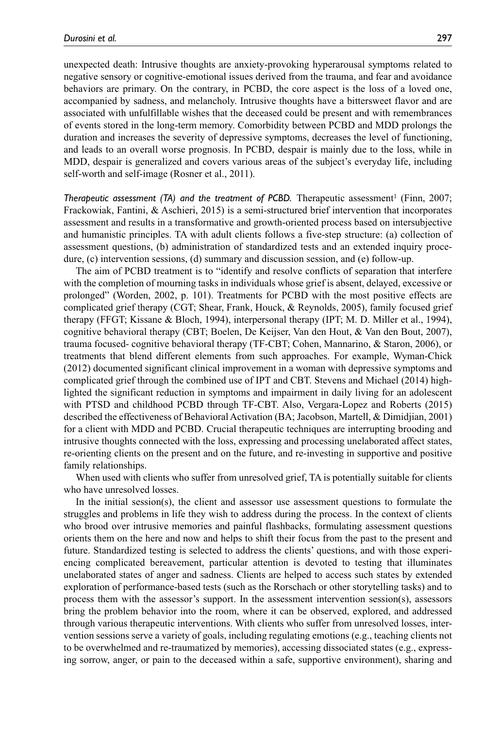unexpected death: Intrusive thoughts are anxiety-provoking hyperarousal symptoms related to negative sensory or cognitive-emotional issues derived from the trauma, and fear and avoidance behaviors are primary. On the contrary, in PCBD, the core aspect is the loss of a loved one, accompanied by sadness, and melancholy. Intrusive thoughts have a bittersweet flavor and are associated with unfulfillable wishes that the deceased could be present and with remembrances of events stored in the long-term memory. Comorbidity between PCBD and MDD prolongs the duration and increases the severity of depressive symptoms, decreases the level of functioning, and leads to an overall worse prognosis. In PCBD, despair is mainly due to the loss, while in MDD, despair is generalized and covers various areas of the subject's everyday life, including self-worth and self-image (Rosner et al., 2011).

*Therapeutic assessment (TA) and the treatment of PCBD. Therapeutic assessment<sup>1</sup> (Finn, 2007;* Frackowiak, Fantini, & Aschieri, 2015) is a semi-structured brief intervention that incorporates assessment and results in a transformative and growth-oriented process based on intersubjective and humanistic principles. TA with adult clients follows a five-step structure: (a) collection of assessment questions, (b) administration of standardized tests and an extended inquiry procedure, (c) intervention sessions, (d) summary and discussion session, and (e) follow-up.

The aim of PCBD treatment is to "identify and resolve conflicts of separation that interfere with the completion of mourning tasks in individuals whose grief is absent, delayed, excessive or prolonged" (Worden, 2002, p. 101). Treatments for PCBD with the most positive effects are complicated grief therapy (CGT; Shear, Frank, Houck, & Reynolds, 2005), family focused grief therapy (FFGT; Kissane & Bloch, 1994), interpersonal therapy (IPT; M. D. Miller et al., 1994), cognitive behavioral therapy (CBT; Boelen, De Keijser, Van den Hout, & Van den Bout, 2007), trauma focused- cognitive behavioral therapy (TF-CBT; Cohen, Mannarino, & Staron, 2006), or treatments that blend different elements from such approaches. For example, Wyman-Chick (2012) documented significant clinical improvement in a woman with depressive symptoms and complicated grief through the combined use of IPT and CBT. Stevens and Michael (2014) highlighted the significant reduction in symptoms and impairment in daily living for an adolescent with PTSD and childhood PCBD through TF-CBT. Also, Vergara-Lopez and Roberts (2015) described the effectiveness of Behavioral Activation (BA; Jacobson, Martell, & Dimidjian, 2001) for a client with MDD and PCBD. Crucial therapeutic techniques are interrupting brooding and intrusive thoughts connected with the loss, expressing and processing unelaborated affect states, re-orienting clients on the present and on the future, and re-investing in supportive and positive family relationships.

When used with clients who suffer from unresolved grief, TA is potentially suitable for clients who have unresolved losses.

In the initial session(s), the client and assessor use assessment questions to formulate the struggles and problems in life they wish to address during the process. In the context of clients who brood over intrusive memories and painful flashbacks, formulating assessment questions orients them on the here and now and helps to shift their focus from the past to the present and future. Standardized testing is selected to address the clients' questions, and with those experiencing complicated bereavement, particular attention is devoted to testing that illuminates unelaborated states of anger and sadness. Clients are helped to access such states by extended exploration of performance-based tests (such as the Rorschach or other storytelling tasks) and to process them with the assessor's support. In the assessment intervention session(s), assessors bring the problem behavior into the room, where it can be observed, explored, and addressed through various therapeutic interventions. With clients who suffer from unresolved losses, intervention sessions serve a variety of goals, including regulating emotions (e.g., teaching clients not to be overwhelmed and re-traumatized by memories), accessing dissociated states (e.g., expressing sorrow, anger, or pain to the deceased within a safe, supportive environment), sharing and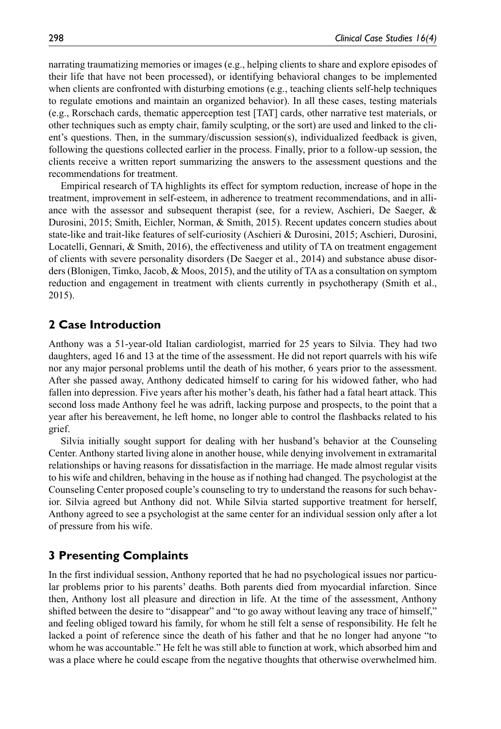narrating traumatizing memories or images (e.g., helping clients to share and explore episodes of their life that have not been processed), or identifying behavioral changes to be implemented when clients are confronted with disturbing emotions (e.g., teaching clients self-help techniques to regulate emotions and maintain an organized behavior). In all these cases, testing materials (e.g., Rorschach cards, thematic apperception test [TAT] cards, other narrative test materials, or other techniques such as empty chair, family sculpting, or the sort) are used and linked to the client's questions. Then, in the summary/discussion session(s), individualized feedback is given, following the questions collected earlier in the process. Finally, prior to a follow-up session, the clients receive a written report summarizing the answers to the assessment questions and the recommendations for treatment.

Empirical research of TA highlights its effect for symptom reduction, increase of hope in the treatment, improvement in self-esteem, in adherence to treatment recommendations, and in alliance with the assessor and subsequent therapist (see, for a review, Aschieri, De Saeger, & Durosini, 2015; Smith, Eichler, Norman, & Smith, 2015). Recent updates concern studies about state-like and trait-like features of self-curiosity (Aschieri & Durosini, 2015; Aschieri, Durosini, Locatelli, Gennari, & Smith, 2016), the effectiveness and utility of TA on treatment engagement of clients with severe personality disorders (De Saeger et al., 2014) and substance abuse disorders (Blonigen, Timko, Jacob, & Moos, 2015), and the utility of TA as a consultation on symptom reduction and engagement in treatment with clients currently in psychotherapy (Smith et al., 2015).

#### **2 Case Introduction**

Anthony was a 51-year-old Italian cardiologist, married for 25 years to Silvia. They had two daughters, aged 16 and 13 at the time of the assessment. He did not report quarrels with his wife nor any major personal problems until the death of his mother, 6 years prior to the assessment. After she passed away, Anthony dedicated himself to caring for his widowed father, who had fallen into depression. Five years after his mother's death, his father had a fatal heart attack. This second loss made Anthony feel he was adrift, lacking purpose and prospects, to the point that a year after his bereavement, he left home, no longer able to control the flashbacks related to his grief.

Silvia initially sought support for dealing with her husband's behavior at the Counseling Center. Anthony started living alone in another house, while denying involvement in extramarital relationships or having reasons for dissatisfaction in the marriage. He made almost regular visits to his wife and children, behaving in the house as if nothing had changed. The psychologist at the Counseling Center proposed couple's counseling to try to understand the reasons for such behavior. Silvia agreed but Anthony did not. While Silvia started supportive treatment for herself, Anthony agreed to see a psychologist at the same center for an individual session only after a lot of pressure from his wife.

# **3 Presenting Complaints**

In the first individual session, Anthony reported that he had no psychological issues nor particular problems prior to his parents' deaths. Both parents died from myocardial infarction. Since then, Anthony lost all pleasure and direction in life. At the time of the assessment, Anthony shifted between the desire to "disappear" and "to go away without leaving any trace of himself," and feeling obliged toward his family, for whom he still felt a sense of responsibility. He felt he lacked a point of reference since the death of his father and that he no longer had anyone "to whom he was accountable." He felt he was still able to function at work, which absorbed him and was a place where he could escape from the negative thoughts that otherwise overwhelmed him.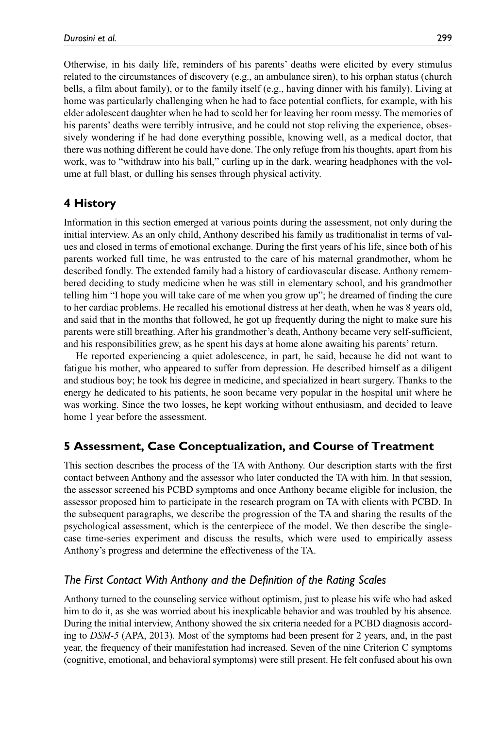Otherwise, in his daily life, reminders of his parents' deaths were elicited by every stimulus related to the circumstances of discovery (e.g., an ambulance siren), to his orphan status (church bells, a film about family), or to the family itself (e.g., having dinner with his family). Living at home was particularly challenging when he had to face potential conflicts, for example, with his elder adolescent daughter when he had to scold her for leaving her room messy. The memories of his parents' deaths were terribly intrusive, and he could not stop reliving the experience, obsessively wondering if he had done everything possible, knowing well, as a medical doctor, that there was nothing different he could have done. The only refuge from his thoughts, apart from his work, was to "withdraw into his ball," curling up in the dark, wearing headphones with the volume at full blast, or dulling his senses through physical activity.

# **4 History**

Information in this section emerged at various points during the assessment, not only during the initial interview. As an only child, Anthony described his family as traditionalist in terms of values and closed in terms of emotional exchange. During the first years of his life, since both of his parents worked full time, he was entrusted to the care of his maternal grandmother, whom he described fondly. The extended family had a history of cardiovascular disease. Anthony remembered deciding to study medicine when he was still in elementary school, and his grandmother telling him "I hope you will take care of me when you grow up"; he dreamed of finding the cure to her cardiac problems. He recalled his emotional distress at her death, when he was 8 years old, and said that in the months that followed, he got up frequently during the night to make sure his parents were still breathing. After his grandmother's death, Anthony became very self-sufficient, and his responsibilities grew, as he spent his days at home alone awaiting his parents' return.

He reported experiencing a quiet adolescence, in part, he said, because he did not want to fatigue his mother, who appeared to suffer from depression. He described himself as a diligent and studious boy; he took his degree in medicine, and specialized in heart surgery. Thanks to the energy he dedicated to his patients, he soon became very popular in the hospital unit where he was working. Since the two losses, he kept working without enthusiasm, and decided to leave home 1 year before the assessment.

# **5 Assessment, Case Conceptualization, and Course of Treatment**

This section describes the process of the TA with Anthony. Our description starts with the first contact between Anthony and the assessor who later conducted the TA with him. In that session, the assessor screened his PCBD symptoms and once Anthony became eligible for inclusion, the assessor proposed him to participate in the research program on TA with clients with PCBD. In the subsequent paragraphs, we describe the progression of the TA and sharing the results of the psychological assessment, which is the centerpiece of the model. We then describe the singlecase time-series experiment and discuss the results, which were used to empirically assess Anthony's progress and determine the effectiveness of the TA.

# *The First Contact With Anthony and the Definition of the Rating Scales*

Anthony turned to the counseling service without optimism, just to please his wife who had asked him to do it, as she was worried about his inexplicable behavior and was troubled by his absence. During the initial interview, Anthony showed the six criteria needed for a PCBD diagnosis according to *DSM-5* (APA, 2013). Most of the symptoms had been present for 2 years, and, in the past year, the frequency of their manifestation had increased. Seven of the nine Criterion C symptoms (cognitive, emotional, and behavioral symptoms) were still present. He felt confused about his own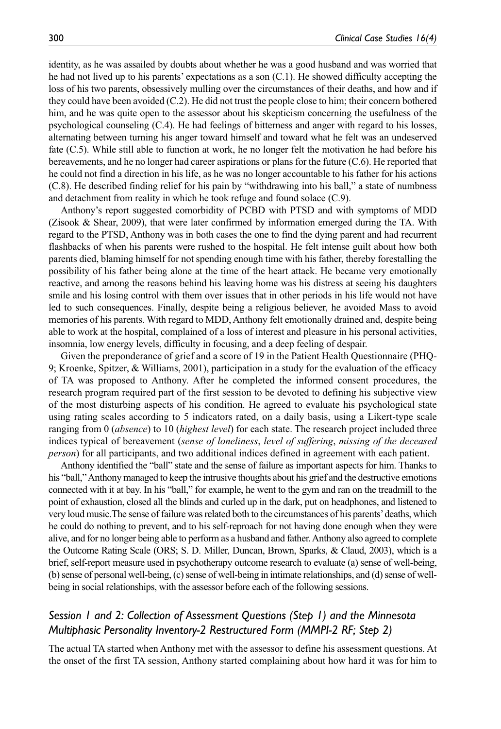identity, as he was assailed by doubts about whether he was a good husband and was worried that he had not lived up to his parents' expectations as a son (C.1). He showed difficulty accepting the loss of his two parents, obsessively mulling over the circumstances of their deaths, and how and if they could have been avoided (C.2). He did not trust the people close to him; their concern bothered him, and he was quite open to the assessor about his skepticism concerning the usefulness of the psychological counseling (C.4). He had feelings of bitterness and anger with regard to his losses, alternating between turning his anger toward himself and toward what he felt was an undeserved fate (C.5). While still able to function at work, he no longer felt the motivation he had before his bereavements, and he no longer had career aspirations or plans for the future (C.6). He reported that he could not find a direction in his life, as he was no longer accountable to his father for his actions (C.8). He described finding relief for his pain by "withdrawing into his ball," a state of numbness and detachment from reality in which he took refuge and found solace (C.9).

Anthony's report suggested comorbidity of PCBD with PTSD and with symptoms of MDD (Zisook & Shear, 2009), that were later confirmed by information emerged during the TA. With regard to the PTSD, Anthony was in both cases the one to find the dying parent and had recurrent flashbacks of when his parents were rushed to the hospital. He felt intense guilt about how both parents died, blaming himself for not spending enough time with his father, thereby forestalling the possibility of his father being alone at the time of the heart attack. He became very emotionally reactive, and among the reasons behind his leaving home was his distress at seeing his daughters smile and his losing control with them over issues that in other periods in his life would not have led to such consequences. Finally, despite being a religious believer, he avoided Mass to avoid memories of his parents. With regard to MDD, Anthony felt emotionally drained and, despite being able to work at the hospital, complained of a loss of interest and pleasure in his personal activities, insomnia, low energy levels, difficulty in focusing, and a deep feeling of despair.

Given the preponderance of grief and a score of 19 in the Patient Health Questionnaire (PHQ-9; Kroenke, Spitzer, & Williams, 2001), participation in a study for the evaluation of the efficacy of TA was proposed to Anthony. After he completed the informed consent procedures, the research program required part of the first session to be devoted to defining his subjective view of the most disturbing aspects of his condition. He agreed to evaluate his psychological state using rating scales according to 5 indicators rated, on a daily basis, using a Likert-type scale ranging from 0 (*absence*) to 10 (*highest level*) for each state. The research project included three indices typical of bereavement (*sense of loneliness*, *level of suffering*, *missing of the deceased person*) for all participants, and two additional indices defined in agreement with each patient.

Anthony identified the "ball" state and the sense of failure as important aspects for him. Thanks to his "ball," Anthony managed to keep the intrusive thoughts about his grief and the destructive emotions connected with it at bay. In his "ball," for example, he went to the gym and ran on the treadmill to the point of exhaustion, closed all the blinds and curled up in the dark, put on headphones, and listened to very loud music.The sense of failure was related both to the circumstances of his parents' deaths, which he could do nothing to prevent, and to his self-reproach for not having done enough when they were alive, and for no longer being able to perform as a husband and father. Anthony also agreed to complete the Outcome Rating Scale (ORS; S. D. Miller, Duncan, Brown, Sparks, & Claud, 2003), which is a brief, self-report measure used in psychotherapy outcome research to evaluate (a) sense of well-being, (b) sense of personal well-being, (c) sense of well-being in intimate relationships, and (d) sense of wellbeing in social relationships, with the assessor before each of the following sessions.

# *Session 1 and 2: Collection of Assessment Questions (Step 1) and the Minnesota Multiphasic Personality Inventory-2 Restructured Form (MMPI-2 RF; Step 2)*

The actual TA started when Anthony met with the assessor to define his assessment questions. At the onset of the first TA session, Anthony started complaining about how hard it was for him to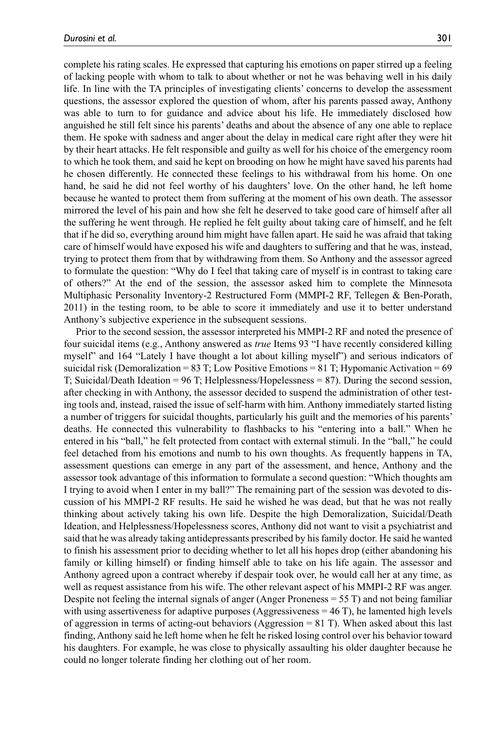complete his rating scales. He expressed that capturing his emotions on paper stirred up a feeling of lacking people with whom to talk to about whether or not he was behaving well in his daily life. In line with the TA principles of investigating clients' concerns to develop the assessment questions, the assessor explored the question of whom, after his parents passed away, Anthony was able to turn to for guidance and advice about his life. He immediately disclosed how anguished he still felt since his parents' deaths and about the absence of any one able to replace them. He spoke with sadness and anger about the delay in medical care right after they were hit by their heart attacks. He felt responsible and guilty as well for his choice of the emergency room to which he took them, and said he kept on brooding on how he might have saved his parents had he chosen differently. He connected these feelings to his withdrawal from his home. On one hand, he said he did not feel worthy of his daughters' love. On the other hand, he left home because he wanted to protect them from suffering at the moment of his own death. The assessor mirrored the level of his pain and how she felt he deserved to take good care of himself after all the suffering he went through. He replied he felt guilty about taking care of himself, and he felt that if he did so, everything around him might have fallen apart. He said he was afraid that taking care of himself would have exposed his wife and daughters to suffering and that he was, instead, trying to protect them from that by withdrawing from them. So Anthony and the assessor agreed to formulate the question: "Why do I feel that taking care of myself is in contrast to taking care of others?" At the end of the session, the assessor asked him to complete the Minnesota Multiphasic Personality Inventory-2 Restructured Form (MMPI-2 RF, Tellegen & Ben-Porath, 2011) in the testing room, to be able to score it immediately and use it to better understand Anthony's subjective experience in the subsequent sessions.

Prior to the second session, the assessor interpreted his MMPI-2 RF and noted the presence of four suicidal items (e.g., Anthony answered as *true* Items 93 "I have recently considered killing myself" and 164 "Lately I have thought a lot about killing myself") and serious indicators of suicidal risk (Demoralization = 83 T; Low Positive Emotions = 81 T; Hypomanic Activation = 69 T; Suicidal/Death Ideation = 96 T; Helplessness/Hopelessness = 87). During the second session, after checking in with Anthony, the assessor decided to suspend the administration of other testing tools and, instead, raised the issue of self-harm with him. Anthony immediately started listing a number of triggers for suicidal thoughts, particularly his guilt and the memories of his parents' deaths. He connected this vulnerability to flashbacks to his "entering into a ball." When he entered in his "ball," he felt protected from contact with external stimuli. In the "ball," he could feel detached from his emotions and numb to his own thoughts. As frequently happens in TA, assessment questions can emerge in any part of the assessment, and hence, Anthony and the assessor took advantage of this information to formulate a second question: "Which thoughts am I trying to avoid when I enter in my ball?" The remaining part of the session was devoted to discussion of his MMPI-2 RF results. He said he wished he was dead, but that he was not really thinking about actively taking his own life. Despite the high Demoralization, Suicidal/Death Ideation, and Helplessness/Hopelessness scores, Anthony did not want to visit a psychiatrist and said that he was already taking antidepressants prescribed by his family doctor. He said he wanted to finish his assessment prior to deciding whether to let all his hopes drop (either abandoning his family or killing himself) or finding himself able to take on his life again. The assessor and Anthony agreed upon a contract whereby if despair took over, he would call her at any time, as well as request assistance from his wife. The other relevant aspect of his MMPI-2 RF was anger. Despite not feeling the internal signals of anger (Anger Proneness = 55 T) and not being familiar with using assertiveness for adaptive purposes (Aggressiveness  $= 46$  T), he lamented high levels of aggression in terms of acting-out behaviors (Aggression  $= 81$  T). When asked about this last finding, Anthony said he left home when he felt he risked losing control over his behavior toward his daughters. For example, he was close to physically assaulting his older daughter because he could no longer tolerate finding her clothing out of her room.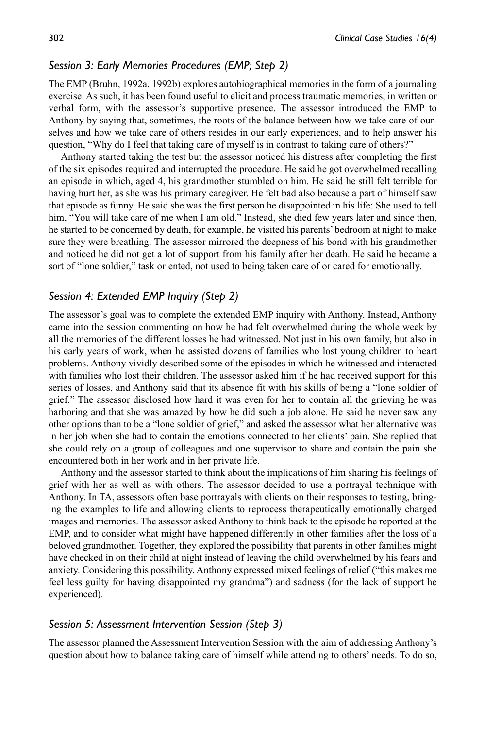# *Session 3: Early Memories Procedures (EMP; Step 2)*

The EMP (Bruhn, 1992a, 1992b) explores autobiographical memories in the form of a journaling exercise. As such, it has been found useful to elicit and process traumatic memories, in written or verbal form, with the assessor's supportive presence. The assessor introduced the EMP to Anthony by saying that, sometimes, the roots of the balance between how we take care of ourselves and how we take care of others resides in our early experiences, and to help answer his question, "Why do I feel that taking care of myself is in contrast to taking care of others?"

Anthony started taking the test but the assessor noticed his distress after completing the first of the six episodes required and interrupted the procedure. He said he got overwhelmed recalling an episode in which, aged 4, his grandmother stumbled on him. He said he still felt terrible for having hurt her, as she was his primary caregiver. He felt bad also because a part of himself saw that episode as funny. He said she was the first person he disappointed in his life: She used to tell him, "You will take care of me when I am old." Instead, she died few years later and since then, he started to be concerned by death, for example, he visited his parents' bedroom at night to make sure they were breathing. The assessor mirrored the deepness of his bond with his grandmother and noticed he did not get a lot of support from his family after her death. He said he became a sort of "lone soldier," task oriented, not used to being taken care of or cared for emotionally.

#### *Session 4: Extended EMP Inquiry (Step 2)*

The assessor's goal was to complete the extended EMP inquiry with Anthony. Instead, Anthony came into the session commenting on how he had felt overwhelmed during the whole week by all the memories of the different losses he had witnessed. Not just in his own family, but also in his early years of work, when he assisted dozens of families who lost young children to heart problems. Anthony vividly described some of the episodes in which he witnessed and interacted with families who lost their children. The assessor asked him if he had received support for this series of losses, and Anthony said that its absence fit with his skills of being a "lone soldier of grief." The assessor disclosed how hard it was even for her to contain all the grieving he was harboring and that she was amazed by how he did such a job alone. He said he never saw any other options than to be a "lone soldier of grief," and asked the assessor what her alternative was in her job when she had to contain the emotions connected to her clients' pain. She replied that she could rely on a group of colleagues and one supervisor to share and contain the pain she encountered both in her work and in her private life.

Anthony and the assessor started to think about the implications of him sharing his feelings of grief with her as well as with others. The assessor decided to use a portrayal technique with Anthony. In TA, assessors often base portrayals with clients on their responses to testing, bringing the examples to life and allowing clients to reprocess therapeutically emotionally charged images and memories. The assessor asked Anthony to think back to the episode he reported at the EMP, and to consider what might have happened differently in other families after the loss of a beloved grandmother. Together, they explored the possibility that parents in other families might have checked in on their child at night instead of leaving the child overwhelmed by his fears and anxiety. Considering this possibility, Anthony expressed mixed feelings of relief ("this makes me feel less guilty for having disappointed my grandma") and sadness (for the lack of support he experienced).

#### *Session 5: Assessment Intervention Session (Step 3)*

The assessor planned the Assessment Intervention Session with the aim of addressing Anthony's question about how to balance taking care of himself while attending to others' needs. To do so,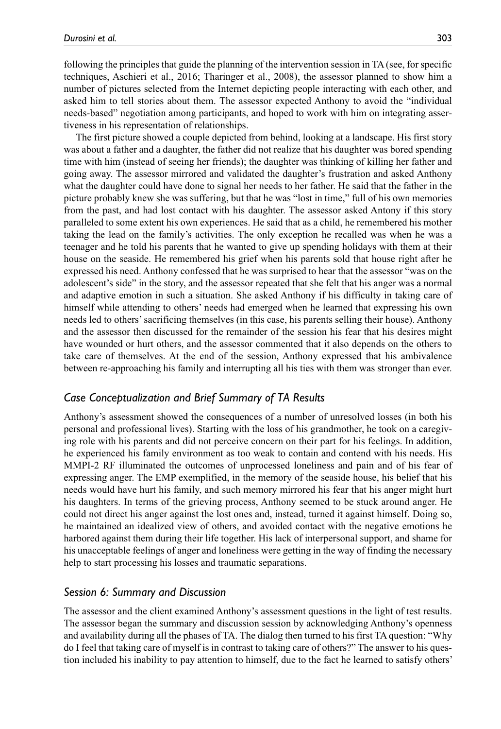following the principles that guide the planning of the intervention session in TA (see, for specific techniques, Aschieri et al., 2016; Tharinger et al., 2008), the assessor planned to show him a number of pictures selected from the Internet depicting people interacting with each other, and asked him to tell stories about them. The assessor expected Anthony to avoid the "individual needs-based" negotiation among participants, and hoped to work with him on integrating assertiveness in his representation of relationships.

The first picture showed a couple depicted from behind, looking at a landscape. His first story was about a father and a daughter, the father did not realize that his daughter was bored spending time with him (instead of seeing her friends); the daughter was thinking of killing her father and going away. The assessor mirrored and validated the daughter's frustration and asked Anthony what the daughter could have done to signal her needs to her father. He said that the father in the picture probably knew she was suffering, but that he was "lost in time," full of his own memories from the past, and had lost contact with his daughter. The assessor asked Antony if this story paralleled to some extent his own experiences. He said that as a child, he remembered his mother taking the lead on the family's activities. The only exception he recalled was when he was a teenager and he told his parents that he wanted to give up spending holidays with them at their house on the seaside. He remembered his grief when his parents sold that house right after he expressed his need. Anthony confessed that he was surprised to hear that the assessor "was on the adolescent's side" in the story, and the assessor repeated that she felt that his anger was a normal and adaptive emotion in such a situation. She asked Anthony if his difficulty in taking care of himself while attending to others' needs had emerged when he learned that expressing his own needs led to others' sacrificing themselves (in this case, his parents selling their house). Anthony and the assessor then discussed for the remainder of the session his fear that his desires might have wounded or hurt others, and the assessor commented that it also depends on the others to take care of themselves. At the end of the session, Anthony expressed that his ambivalence between re-approaching his family and interrupting all his ties with them was stronger than ever.

# *Case Conceptualization and Brief Summary of TA Results*

Anthony's assessment showed the consequences of a number of unresolved losses (in both his personal and professional lives). Starting with the loss of his grandmother, he took on a caregiving role with his parents and did not perceive concern on their part for his feelings. In addition, he experienced his family environment as too weak to contain and contend with his needs. His MMPI-2 RF illuminated the outcomes of unprocessed loneliness and pain and of his fear of expressing anger. The EMP exemplified, in the memory of the seaside house, his belief that his needs would have hurt his family, and such memory mirrored his fear that his anger might hurt his daughters. In terms of the grieving process, Anthony seemed to be stuck around anger. He could not direct his anger against the lost ones and, instead, turned it against himself. Doing so, he maintained an idealized view of others, and avoided contact with the negative emotions he harbored against them during their life together. His lack of interpersonal support, and shame for his unacceptable feelings of anger and loneliness were getting in the way of finding the necessary help to start processing his losses and traumatic separations.

#### *Session 6: Summary and Discussion*

The assessor and the client examined Anthony's assessment questions in the light of test results. The assessor began the summary and discussion session by acknowledging Anthony's openness and availability during all the phases of TA. The dialog then turned to his first TA question: "Why do I feel that taking care of myself is in contrast to taking care of others?" The answer to his question included his inability to pay attention to himself, due to the fact he learned to satisfy others'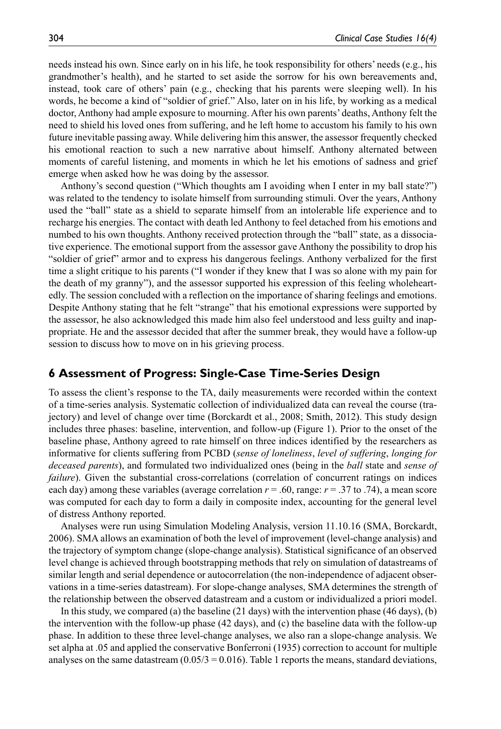needs instead his own. Since early on in his life, he took responsibility for others' needs (e.g., his grandmother's health), and he started to set aside the sorrow for his own bereavements and, instead, took care of others' pain (e.g., checking that his parents were sleeping well). In his words, he become a kind of "soldier of grief." Also, later on in his life, by working as a medical doctor, Anthony had ample exposure to mourning. After his own parents' deaths, Anthony felt the need to shield his loved ones from suffering, and he left home to accustom his family to his own future inevitable passing away. While delivering him this answer, the assessor frequently checked his emotional reaction to such a new narrative about himself. Anthony alternated between moments of careful listening, and moments in which he let his emotions of sadness and grief emerge when asked how he was doing by the assessor.

Anthony's second question ("Which thoughts am I avoiding when I enter in my ball state?") was related to the tendency to isolate himself from surrounding stimuli. Over the years, Anthony used the "ball" state as a shield to separate himself from an intolerable life experience and to recharge his energies. The contact with death led Anthony to feel detached from his emotions and numbed to his own thoughts. Anthony received protection through the "ball" state, as a dissociative experience. The emotional support from the assessor gave Anthony the possibility to drop his "soldier of grief" armor and to express his dangerous feelings. Anthony verbalized for the first time a slight critique to his parents ("I wonder if they knew that I was so alone with my pain for the death of my granny"), and the assessor supported his expression of this feeling wholeheartedly. The session concluded with a reflection on the importance of sharing feelings and emotions. Despite Anthony stating that he felt "strange" that his emotional expressions were supported by the assessor, he also acknowledged this made him also feel understood and less guilty and inappropriate. He and the assessor decided that after the summer break, they would have a follow-up session to discuss how to move on in his grieving process.

# **6 Assessment of Progress: Single-Case Time-Series Design**

To assess the client's response to the TA, daily measurements were recorded within the context of a time-series analysis. Systematic collection of individualized data can reveal the course (trajectory) and level of change over time (Borckardt et al., 2008; Smith, 2012). This study design includes three phases: baseline, intervention, and follow-up (Figure 1). Prior to the onset of the baseline phase, Anthony agreed to rate himself on three indices identified by the researchers as informative for clients suffering from PCBD (*sense of loneliness*, *level of suffering*, *longing for deceased parents*), and formulated two individualized ones (being in the *ball* state and *sense of failure*). Given the substantial cross-correlations (correlation of concurrent ratings on indices each day) among these variables (average correlation  $r = .60$ , range:  $r = .37$  to .74), a mean score was computed for each day to form a daily in composite index, accounting for the general level of distress Anthony reported.

Analyses were run using Simulation Modeling Analysis, version 11.10.16 (SMA, Borckardt, 2006). SMA allows an examination of both the level of improvement (level-change analysis) and the trajectory of symptom change (slope-change analysis). Statistical significance of an observed level change is achieved through bootstrapping methods that rely on simulation of datastreams of similar length and serial dependence or autocorrelation (the non-independence of adjacent observations in a time-series datastream). For slope-change analyses, SMA determines the strength of the relationship between the observed datastream and a custom or individualized a priori model.

In this study, we compared (a) the baseline (21 days) with the intervention phase (46 days), (b) the intervention with the follow-up phase (42 days), and (c) the baseline data with the follow-up phase. In addition to these three level-change analyses, we also ran a slope-change analysis. We set alpha at .05 and applied the conservative Bonferroni (1935) correction to account for multiple analyses on the same datastream  $(0.05/3 = 0.016)$ . Table 1 reports the means, standard deviations,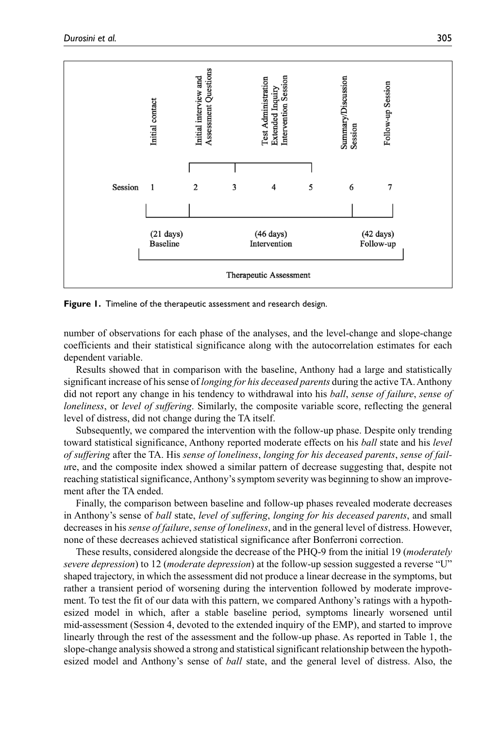

**Figure 1.** Timeline of the therapeutic assessment and research design.

number of observations for each phase of the analyses, and the level-change and slope-change coefficients and their statistical significance along with the autocorrelation estimates for each dependent variable.

Results showed that in comparison with the baseline, Anthony had a large and statistically significant increase of his sense of *longing for his deceased parents* during the active TA. Anthony did not report any change in his tendency to withdrawal into his *ball*, *sense of failure*, *sense of loneliness*, or *level of suffering*. Similarly, the composite variable score, reflecting the general level of distress, did not change during the TA itself.

Subsequently, we compared the intervention with the follow-up phase. Despite only trending toward statistical significance, Anthony reported moderate effects on his *ball* state and his *level of suffering* after the TA. His *sense of loneliness*, *longing for his deceased parents*, *sense of failu*re, and the composite index showed a similar pattern of decrease suggesting that, despite not reaching statistical significance, Anthony's symptom severity was beginning to show an improvement after the TA ended.

Finally, the comparison between baseline and follow-up phases revealed moderate decreases in Anthony's sense of *ball* state, *level of suffering*, *longing for his deceased parents*, and small decreases in his *sense of failure*, *sense of loneliness*, and in the general level of distress. However, none of these decreases achieved statistical significance after Bonferroni correction.

These results, considered alongside the decrease of the PHQ-9 from the initial 19 (*moderately severe depression*) to 12 (*moderate depression*) at the follow-up session suggested a reverse "U" shaped trajectory, in which the assessment did not produce a linear decrease in the symptoms, but rather a transient period of worsening during the intervention followed by moderate improvement. To test the fit of our data with this pattern, we compared Anthony's ratings with a hypothesized model in which, after a stable baseline period, symptoms linearly worsened until mid-assessment (Session 4, devoted to the extended inquiry of the EMP), and started to improve linearly through the rest of the assessment and the follow-up phase. As reported in Table 1, the slope-change analysis showed a strong and statistical significant relationship between the hypothesized model and Anthony's sense of *ball* state, and the general level of distress. Also, the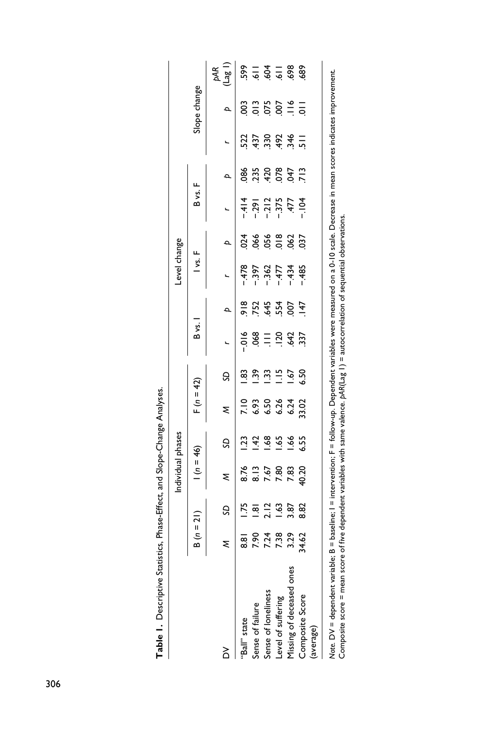|                                                                                                                                            |               |                   | Individual phases            |                |                                     |                |                                                                                                                                  |                 | Level change                                   |                   |                                      |                                               |                           |              |                                                   |
|--------------------------------------------------------------------------------------------------------------------------------------------|---------------|-------------------|------------------------------|----------------|-------------------------------------|----------------|----------------------------------------------------------------------------------------------------------------------------------|-----------------|------------------------------------------------|-------------------|--------------------------------------|-----------------------------------------------|---------------------------|--------------|---------------------------------------------------|
|                                                                                                                                            | $B(n = 21)$   |                   | $ln = 46$                    |                | $F(n = 42)$                         |                | B vs.                                                                                                                            |                 | $\frac{1}{2}$                                  |                   | B vs.                                |                                               |                           | Slope change |                                                   |
| ≧                                                                                                                                          |               |                   | ξ                            | S              | ξ                                   | S              |                                                                                                                                  |                 |                                                |                   |                                      | $\mathbf{a}$                                  |                           | $\mathbf{a}$ | $\begin{pmatrix} pAR \\ \text{Lag} \end{pmatrix}$ |
| "Ball" state                                                                                                                               | $\frac{8}{3}$ |                   |                              | $\frac{23}{2}$ |                                     | 83<br>-        | $-0.6$                                                                                                                           |                 | $-478$                                         |                   | $-414$                               | 086                                           | 522                       |              |                                                   |
| Sense of failure                                                                                                                           | <b>PSZ</b>    | ᇹ                 | 8.76<br>8.13<br>7.67<br>7.80 | $-42$          | 10<br>6.93 04<br>6.93 04<br>6.93 02 | ف<br>ف         | 068                                                                                                                              |                 |                                                | 0.56              |                                      |                                               | .437                      |              | $35 - 3 = 88$<br>$55 - 3 = 88$                    |
| Sense of loneliness                                                                                                                        | 7.24          | $\mathbf{\Omega}$ |                              | 1.68           |                                     | $\frac{33}{2}$ | Ξ                                                                                                                                |                 | $-397$<br>$-362$<br>$-362$<br>$-434$<br>$-485$ |                   | $-291$<br>$-212$<br>$-375$<br>$-377$ | 230<br>220<br>220<br>220<br>220<br>220<br>220 |                           |              |                                                   |
| Level of suffering                                                                                                                         | 7.38          | $\ddot{3}$        |                              | 1.65           |                                     | $\Xi$          |                                                                                                                                  |                 |                                                | 056<br>018<br>062 |                                      |                                               |                           |              |                                                   |
| Missing of deceased ones                                                                                                                   | 3.29          | 3.87              | 7.83                         | 1.66           |                                     | 167            | $1264$<br>$537$                                                                                                                  |                 |                                                |                   |                                      |                                               | $30846$<br>$-346$<br>$-1$ |              |                                                   |
| Composite Score                                                                                                                            | 34.62         | 8.82              | 40.20                        | 6.55           |                                     | 6.50           |                                                                                                                                  | $\overline{47}$ |                                                | 037               | $-104$                               |                                               |                           |              |                                                   |
| (average)                                                                                                                                  |               |                   |                              |                |                                     |                |                                                                                                                                  |                 |                                                |                   |                                      |                                               |                           |              |                                                   |
| Note. DV = dependent variable; B = baseline;                                                                                               |               |                   |                              |                |                                     |                | = intervention; F = follow-up. Dependent variables were measured on a 0-10 scale. Decrease in mean scores indicates improvement. |                 |                                                |                   |                                      |                                               |                           |              |                                                   |
| Composite score = mean score of five dependent variables with same valence. $pAR(Lag \; \;)$ = autocorrelation of sequential observations. |               |                   |                              |                |                                     |                |                                                                                                                                  |                 |                                                |                   |                                      |                                               |                           |              |                                                   |

| ١<br>ï<br>i<br>i<br>:<br>,<br>:<br>י<br>ו<br>Ì |  |
|------------------------------------------------|--|
|                                                |  |
|                                                |  |
|                                                |  |
|                                                |  |
|                                                |  |
|                                                |  |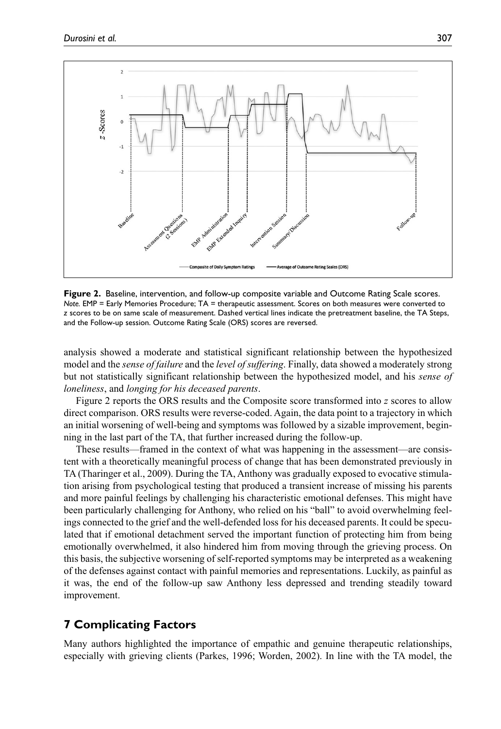

**Figure 2.** Baseline, intervention, and follow-up composite variable and Outcome Rating Scale scores. *Note.* EMP = Early Memories Procedure; TA = therapeutic assessment. Scores on both measures were converted to *z* scores to be on same scale of measurement. Dashed vertical lines indicate the pretreatment baseline, the TA Steps, and the Follow-up session. Outcome Rating Scale (ORS) scores are reversed.

analysis showed a moderate and statistical significant relationship between the hypothesized model and the *sense of failure* and the *level of suffering*. Finally, data showed a moderately strong but not statistically significant relationship between the hypothesized model, and his *sense of loneliness*, and *longing for his deceased parents*.

Figure 2 reports the ORS results and the Composite score transformed into *z* scores to allow direct comparison. ORS results were reverse-coded. Again, the data point to a trajectory in which an initial worsening of well-being and symptoms was followed by a sizable improvement, beginning in the last part of the TA, that further increased during the follow-up.

These results—framed in the context of what was happening in the assessment—are consistent with a theoretically meaningful process of change that has been demonstrated previously in TA (Tharinger et al., 2009). During the TA, Anthony was gradually exposed to evocative stimulation arising from psychological testing that produced a transient increase of missing his parents and more painful feelings by challenging his characteristic emotional defenses. This might have been particularly challenging for Anthony, who relied on his "ball" to avoid overwhelming feelings connected to the grief and the well-defended loss for his deceased parents. It could be speculated that if emotional detachment served the important function of protecting him from being emotionally overwhelmed, it also hindered him from moving through the grieving process. On this basis, the subjective worsening of self-reported symptoms may be interpreted as a weakening of the defenses against contact with painful memories and representations. Luckily, as painful as it was, the end of the follow-up saw Anthony less depressed and trending steadily toward improvement.

# **7 Complicating Factors**

Many authors highlighted the importance of empathic and genuine therapeutic relationships, especially with grieving clients (Parkes, 1996; Worden, 2002). In line with the TA model, the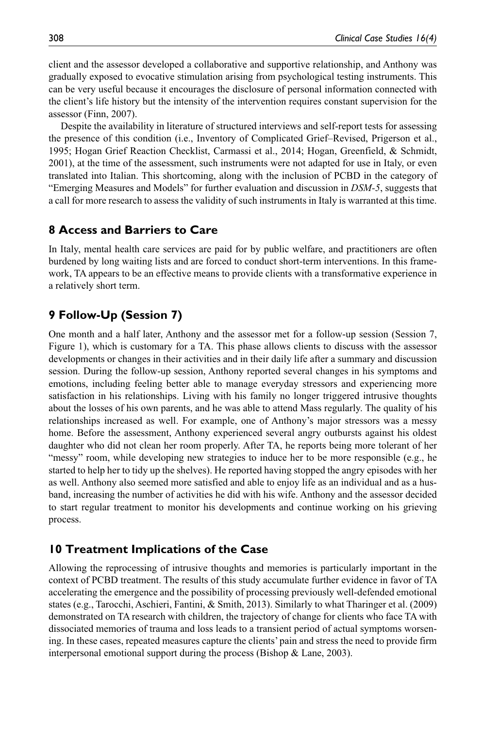client and the assessor developed a collaborative and supportive relationship, and Anthony was gradually exposed to evocative stimulation arising from psychological testing instruments. This can be very useful because it encourages the disclosure of personal information connected with the client's life history but the intensity of the intervention requires constant supervision for the assessor (Finn, 2007).

Despite the availability in literature of structured interviews and self-report tests for assessing the presence of this condition (i.e., Inventory of Complicated Grief–Revised, Prigerson et al., 1995; Hogan Grief Reaction Checklist, Carmassi et al., 2014; Hogan, Greenfield, & Schmidt, 2001), at the time of the assessment, such instruments were not adapted for use in Italy, or even translated into Italian. This shortcoming, along with the inclusion of PCBD in the category of "Emerging Measures and Models" for further evaluation and discussion in *DSM-5*, suggests that a call for more research to assess the validity of such instruments in Italy is warranted at this time.

# **8 Access and Barriers to Care**

In Italy, mental health care services are paid for by public welfare, and practitioners are often burdened by long waiting lists and are forced to conduct short-term interventions. In this framework, TA appears to be an effective means to provide clients with a transformative experience in a relatively short term.

# **9 Follow-Up (Session 7)**

One month and a half later, Anthony and the assessor met for a follow-up session (Session 7, Figure 1), which is customary for a TA. This phase allows clients to discuss with the assessor developments or changes in their activities and in their daily life after a summary and discussion session. During the follow-up session, Anthony reported several changes in his symptoms and emotions, including feeling better able to manage everyday stressors and experiencing more satisfaction in his relationships. Living with his family no longer triggered intrusive thoughts about the losses of his own parents, and he was able to attend Mass regularly. The quality of his relationships increased as well. For example, one of Anthony's major stressors was a messy home. Before the assessment, Anthony experienced several angry outbursts against his oldest daughter who did not clean her room properly. After TA, he reports being more tolerant of her "messy" room, while developing new strategies to induce her to be more responsible (e.g., he started to help her to tidy up the shelves). He reported having stopped the angry episodes with her as well. Anthony also seemed more satisfied and able to enjoy life as an individual and as a husband, increasing the number of activities he did with his wife. Anthony and the assessor decided to start regular treatment to monitor his developments and continue working on his grieving process.

# **10 Treatment Implications of the Case**

Allowing the reprocessing of intrusive thoughts and memories is particularly important in the context of PCBD treatment. The results of this study accumulate further evidence in favor of TA accelerating the emergence and the possibility of processing previously well-defended emotional states (e.g., Tarocchi, Aschieri, Fantini, & Smith, 2013). Similarly to what Tharinger et al. (2009) demonstrated on TA research with children, the trajectory of change for clients who face TA with dissociated memories of trauma and loss leads to a transient period of actual symptoms worsening. In these cases, repeated measures capture the clients' pain and stress the need to provide firm interpersonal emotional support during the process (Bishop & Lane, 2003).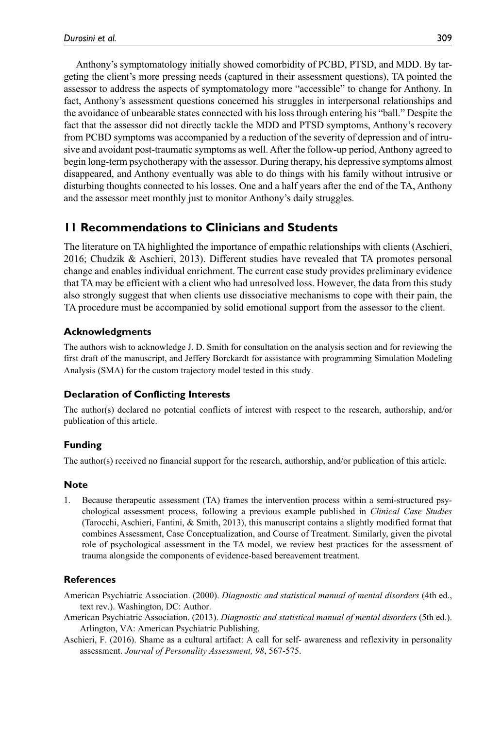Anthony's symptomatology initially showed comorbidity of PCBD, PTSD, and MDD. By targeting the client's more pressing needs (captured in their assessment questions), TA pointed the assessor to address the aspects of symptomatology more "accessible" to change for Anthony. In fact, Anthony's assessment questions concerned his struggles in interpersonal relationships and the avoidance of unbearable states connected with his loss through entering his "ball." Despite the fact that the assessor did not directly tackle the MDD and PTSD symptoms, Anthony's recovery from PCBD symptoms was accompanied by a reduction of the severity of depression and of intrusive and avoidant post-traumatic symptoms as well. After the follow-up period, Anthony agreed to begin long-term psychotherapy with the assessor. During therapy, his depressive symptoms almost disappeared, and Anthony eventually was able to do things with his family without intrusive or disturbing thoughts connected to his losses. One and a half years after the end of the TA, Anthony and the assessor meet monthly just to monitor Anthony's daily struggles.

# **11 Recommendations to Clinicians and Students**

The literature on TA highlighted the importance of empathic relationships with clients (Aschieri, 2016; Chudzik & Aschieri, 2013). Different studies have revealed that TA promotes personal change and enables individual enrichment. The current case study provides preliminary evidence that TA may be efficient with a client who had unresolved loss. However, the data from this study also strongly suggest that when clients use dissociative mechanisms to cope with their pain, the TA procedure must be accompanied by solid emotional support from the assessor to the client.

# **Acknowledgments**

The authors wish to acknowledge J. D. Smith for consultation on the analysis section and for reviewing the first draft of the manuscript, and Jeffery Borckardt for assistance with programming Simulation Modeling Analysis (SMA) for the custom trajectory model tested in this study.

#### **Declaration of Conflicting Interests**

The author(s) declared no potential conflicts of interest with respect to the research, authorship, and/or publication of this article.

# **Funding**

The author(s) received no financial support for the research, authorship, and/or publication of this article.

#### **Note**

1. Because therapeutic assessment (TA) frames the intervention process within a semi-structured psychological assessment process, following a previous example published in *Clinical Case Studies* (Tarocchi, Aschieri, Fantini, & Smith, 2013), this manuscript contains a slightly modified format that combines Assessment, Case Conceptualization, and Course of Treatment. Similarly, given the pivotal role of psychological assessment in the TA model, we review best practices for the assessment of trauma alongside the components of evidence-based bereavement treatment.

#### **References**

- American Psychiatric Association. (2000). *Diagnostic and statistical manual of mental disorders* (4th ed., text rev.). Washington, DC: Author.
- American Psychiatric Association. (2013). *Diagnostic and statistical manual of mental disorders* (5th ed.). Arlington, VA: American Psychiatric Publishing.
- Aschieri, F. (2016). Shame as a cultural artifact: A call for self- awareness and reflexivity in personality assessment. *Journal of Personality Assessment, 98*, 567-575.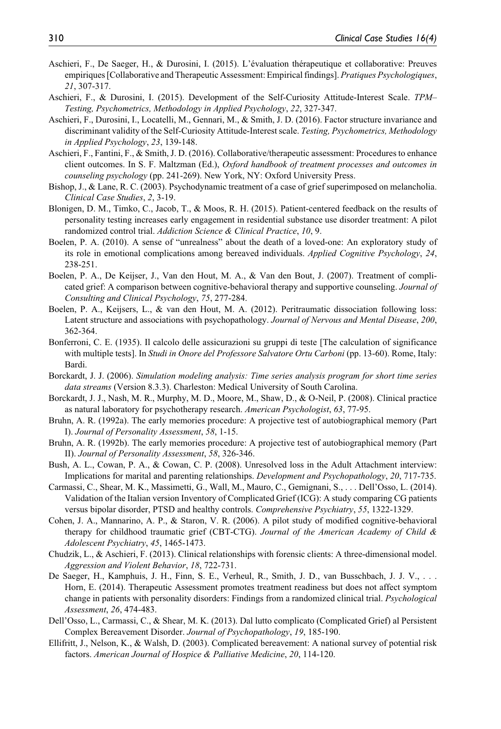- Aschieri, F., De Saeger, H., & Durosini, I. (2015). L'évaluation thérapeutique et collaborative: Preuves empiriques [Collaborative and Therapeutic Assessment: Empirical findings]. *Pratiques Psychologiques*, *21*, 307-317.
- Aschieri, F., & Durosini, I. (2015). Development of the Self-Curiosity Attitude-Interest Scale. *TPM– Testing, Psychometrics, Methodology in Applied Psychology*, *22*, 327-347.
- Aschieri, F., Durosini, I., Locatelli, M., Gennari, M., & Smith, J. D. (2016). Factor structure invariance and discriminant validity of the Self-Curiosity Attitude-Interest scale. *Testing, Psychometrics, Methodology in Applied Psychology*, *23*, 139-148.
- Aschieri, F., Fantini, F., & Smith, J. D. (2016). Collaborative/therapeutic assessment: Procedures to enhance client outcomes. In S. F. Maltzman (Ed.), *Oxford handbook of treatment processes and outcomes in counseling psychology* (pp. 241-269). New York, NY: Oxford University Press.
- Bishop, J., & Lane, R. C. (2003). Psychodynamic treatment of a case of grief superimposed on melancholia. *Clinical Case Studies*, *2*, 3-19.
- Blonigen, D. M., Timko, C., Jacob, T., & Moos, R. H. (2015). Patient-centered feedback on the results of personality testing increases early engagement in residential substance use disorder treatment: A pilot randomized control trial. *Addiction Science & Clinical Practice*, *10*, 9.
- Boelen, P. A. (2010). A sense of "unrealness" about the death of a loved-one: An exploratory study of its role in emotional complications among bereaved individuals. *Applied Cognitive Psychology*, *24*, 238-251.
- Boelen, P. A., De Keijser, J., Van den Hout, M. A., & Van den Bout, J. (2007). Treatment of complicated grief: A comparison between cognitive-behavioral therapy and supportive counseling. *Journal of Consulting and Clinical Psychology*, *75*, 277-284.
- Boelen, P. A., Keijsers, L., & van den Hout, M. A. (2012). Peritraumatic dissociation following loss: Latent structure and associations with psychopathology. *Journal of Nervous and Mental Disease*, *200*, 362-364.
- Bonferroni, C. E. (1935). Il calcolo delle assicurazioni su gruppi di teste [The calculation of significance with multiple tests]. In *Studi in Onore del Professore Salvatore Ortu Carboni* (pp. 13-60). Rome, Italy: Bardi.
- Borckardt, J. J. (2006). *Simulation modeling analysis: Time series analysis program for short time series data streams* (Version 8.3.3). Charleston: Medical University of South Carolina.
- Borckardt, J. J., Nash, M. R., Murphy, M. D., Moore, M., Shaw, D., & O-Neil, P. (2008). Clinical practice as natural laboratory for psychotherapy research. *American Psychologist*, *63*, 77-95.
- Bruhn, A. R. (1992a). The early memories procedure: A projective test of autobiographical memory (Part I). *Journal of Personality Assessment*, *58*, 1-15.
- Bruhn, A. R. (1992b). The early memories procedure: A projective test of autobiographical memory (Part II). *Journal of Personality Assessment*, *58*, 326-346.
- Bush, A. L., Cowan, P. A., & Cowan, C. P. (2008). Unresolved loss in the Adult Attachment interview: Implications for marital and parenting relationships. *Development and Psychopathology*, *20*, 717-735.
- Carmassi, C., Shear, M. K., Massimetti, G., Wall, M., Mauro, C., Gemignani, S., . . . Dell'Osso, L. (2014). Validation of the Italian version Inventory of Complicated Grief (ICG): A study comparing CG patients versus bipolar disorder, PTSD and healthy controls. *Comprehensive Psychiatry*, *55*, 1322-1329.
- Cohen, J. A., Mannarino, A. P., & Staron, V. R. (2006). A pilot study of modified cognitive-behavioral therapy for childhood traumatic grief (CBT-CTG). *Journal of the American Academy of Child & Adolescent Psychiatry*, *45*, 1465-1473.
- Chudzik, L., & Aschieri, F. (2013). Clinical relationships with forensic clients: A three-dimensional model. *Aggression and Violent Behavior*, *18*, 722-731.
- De Saeger, H., Kamphuis, J. H., Finn, S. E., Verheul, R., Smith, J. D., van Busschbach, J. J. V., . . . Horn, E. (2014). Therapeutic Assessment promotes treatment readiness but does not affect symptom change in patients with personality disorders: Findings from a randomized clinical trial. *Psychological Assessment*, *26*, 474-483.
- Dell'Osso, L., Carmassi, C., & Shear, M. K. (2013). Dal lutto complicato (Complicated Grief) al Persistent Complex Bereavement Disorder. *Journal of Psychopathology*, *19*, 185-190.
- Ellifritt, J., Nelson, K., & Walsh, D. (2003). Complicated bereavement: A national survey of potential risk factors. *American Journal of Hospice & Palliative Medicine*, *20*, 114-120.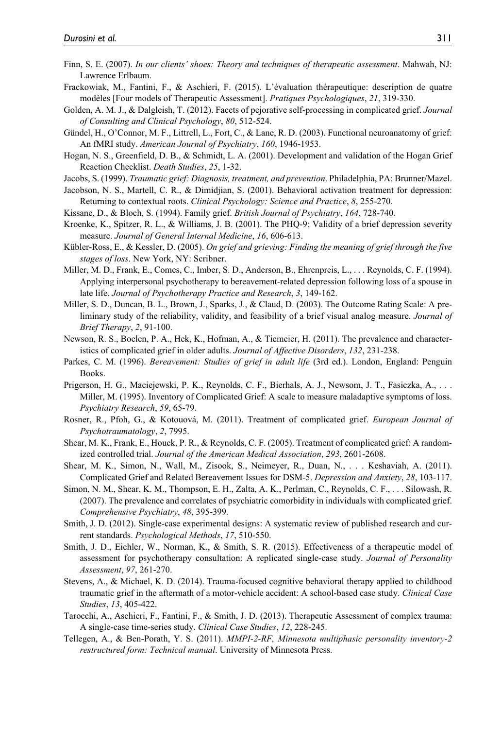- Finn, S. E. (2007). *In our clients' shoes: Theory and techniques of therapeutic assessment*. Mahwah, NJ: Lawrence Erlbaum.
- Frackowiak, M., Fantini, F., & Aschieri, F. (2015). L'évaluation thérapeutique: description de quatre modèles [Four models of Therapeutic Assessment]. *Pratiques Psychologiques*, *21*, 319-330.
- Golden, A. M. J., & Dalgleish, T. (2012). Facets of pejorative self-processing in complicated grief. *Journal of Consulting and Clinical Psychology*, *80*, 512-524.
- Gündel, H., O'Connor, M. F., Littrell, L., Fort, C., & Lane, R. D. (2003). Functional neuroanatomy of grief: An fMRI study. *American Journal of Psychiatry*, *160*, 1946-1953.
- Hogan, N. S., Greenfield, D. B., & Schmidt, L. A. (2001). Development and validation of the Hogan Grief Reaction Checklist. *Death Studies*, *25*, 1-32.
- Jacobs, S. (1999). *Traumatic grief: Diagnosis, treatment, and prevention*. Philadelphia, PA: Brunner/Mazel.
- Jacobson, N. S., Martell, C. R., & Dimidjian, S. (2001). Behavioral activation treatment for depression: Returning to contextual roots. *Clinical Psychology: Science and Practice*, *8*, 255-270.
- Kissane, D., & Bloch, S. (1994). Family grief. *British Journal of Psychiatry*, *164*, 728-740.
- Kroenke, K., Spitzer, R. L., & Williams, J. B. (2001). The PHQ-9: Validity of a brief depression severity measure. *Journal of General Internal Medicine*, *16*, 606-613.
- Kübler-Ross, E., & Kessler, D. (2005). *On grief and grieving: Finding the meaning of grief through the five stages of loss*. New York, NY: Scribner.
- Miller, M. D., Frank, E., Comes, C., Imber, S. D., Anderson, B., Ehrenpreis, L., . . . Reynolds, C. F. (1994). Applying interpersonal psychotherapy to bereavement-related depression following loss of a spouse in late life. *Journal of Psychotherapy Practice and Research*, *3*, 149-162.
- Miller, S. D., Duncan, B. L., Brown, J., Sparks, J., & Claud, D. (2003). The Outcome Rating Scale: A preliminary study of the reliability, validity, and feasibility of a brief visual analog measure. *Journal of Brief Therapy*, *2*, 91-100.
- Newson, R. S., Boelen, P. A., Hek, K., Hofman, A., & Tiemeier, H. (2011). The prevalence and characteristics of complicated grief in older adults. *Journal of Affective Disorders*, *132*, 231-238.
- Parkes, C. M. (1996). *Bereavement: Studies of grief in adult life* (3rd ed.). London, England: Penguin Books.
- Prigerson, H. G., Maciejewski, P. K., Reynolds, C. F., Bierhals, A. J., Newsom, J. T., Fasiczka, A., . . . Miller, M. (1995). Inventory of Complicated Grief: A scale to measure maladaptive symptoms of loss. *Psychiatry Research*, *59*, 65-79.
- Rosner, R., Pfoh, G., & Kotouová, M. (2011). Treatment of complicated grief. *European Journal of Psychotraumatology*, *2*, 7995.
- Shear, M. K., Frank, E., Houck, P. R., & Reynolds, C. F. (2005). Treatment of complicated grief: A randomized controlled trial. *Journal of the American Medical Association*, *293*, 2601-2608.
- Shear, M. K., Simon, N., Wall, M., Zisook, S., Neimeyer, R., Duan, N., . . . Keshaviah, A. (2011). Complicated Grief and Related Bereavement Issues for DSM-5. *Depression and Anxiety*, *28*, 103-117.
- Simon, N. M., Shear, K. M., Thompson, E. H., Zalta, A. K., Perlman, C., Reynolds, C. F., . . . Silowash, R. (2007). The prevalence and correlates of psychiatric comorbidity in individuals with complicated grief. *Comprehensive Psychiatry*, *48*, 395-399.
- Smith, J. D. (2012). Single-case experimental designs: A systematic review of published research and current standards. *Psychological Methods*, *17*, 510-550.
- Smith, J. D., Eichler, W., Norman, K., & Smith, S. R. (2015). Effectiveness of a therapeutic model of assessment for psychotherapy consultation: A replicated single-case study. *Journal of Personality Assessment*, *97*, 261-270.
- Stevens, A., & Michael, K. D. (2014). Trauma-focused cognitive behavioral therapy applied to childhood traumatic grief in the aftermath of a motor-vehicle accident: A school-based case study. *Clinical Case Studies*, *13*, 405-422.
- Tarocchi, A., Aschieri, F., Fantini, F., & Smith, J. D. (2013). Therapeutic Assessment of complex trauma: A single-case time-series study. *Clinical Case Studies*, *12*, 228-245.
- Tellegen, A., & Ben-Porath, Y. S. (2011). *MMPI-2-RF, Minnesota multiphasic personality inventory-2 restructured form: Technical manual*. University of Minnesota Press.